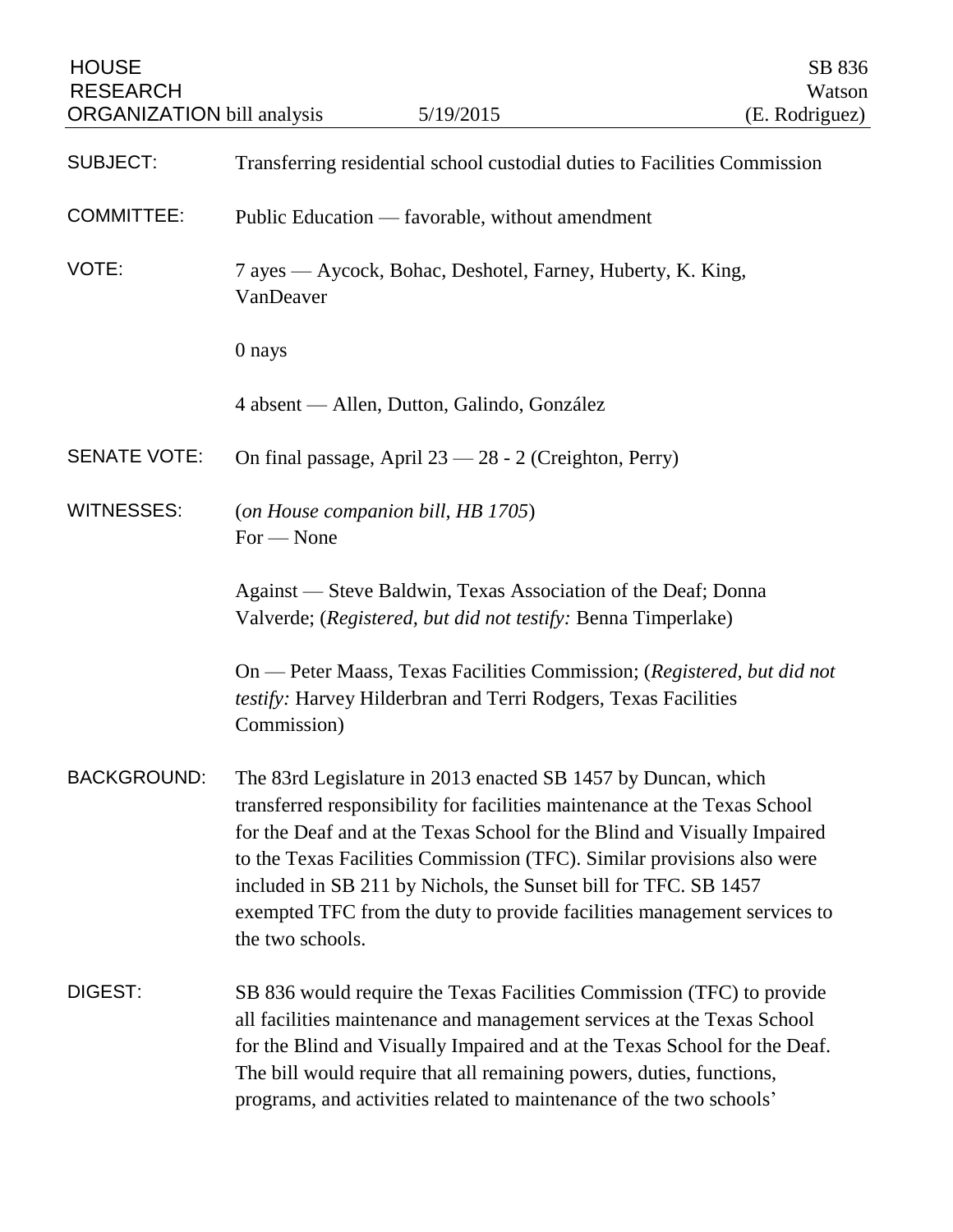| <b>HOUSE</b><br><b>RESEARCH</b><br><b>ORGANIZATION</b> bill analysis | 5/19/2015                                                                                                                                                                                                                                                                                                                                                                                                                                                          | SB 836<br>Watson<br>(E. Rodriguez) |
|----------------------------------------------------------------------|--------------------------------------------------------------------------------------------------------------------------------------------------------------------------------------------------------------------------------------------------------------------------------------------------------------------------------------------------------------------------------------------------------------------------------------------------------------------|------------------------------------|
| <b>SUBJECT:</b>                                                      | Transferring residential school custodial duties to Facilities Commission                                                                                                                                                                                                                                                                                                                                                                                          |                                    |
| <b>COMMITTEE:</b>                                                    | Public Education — favorable, without amendment                                                                                                                                                                                                                                                                                                                                                                                                                    |                                    |
| VOTE:                                                                | 7 ayes — Aycock, Bohac, Deshotel, Farney, Huberty, K. King,<br>VanDeaver                                                                                                                                                                                                                                                                                                                                                                                           |                                    |
|                                                                      | 0 nays                                                                                                                                                                                                                                                                                                                                                                                                                                                             |                                    |
|                                                                      | 4 absent — Allen, Dutton, Galindo, González                                                                                                                                                                                                                                                                                                                                                                                                                        |                                    |
| <b>SENATE VOTE:</b>                                                  | On final passage, April 23 - 28 - 2 (Creighton, Perry)                                                                                                                                                                                                                                                                                                                                                                                                             |                                    |
| <b>WITNESSES:</b>                                                    | (on House companion bill, HB 1705)<br>$For - None$                                                                                                                                                                                                                                                                                                                                                                                                                 |                                    |
|                                                                      | Against — Steve Baldwin, Texas Association of the Deaf; Donna<br>Valverde; (Registered, but did not testify: Benna Timperlake)                                                                                                                                                                                                                                                                                                                                     |                                    |
|                                                                      | On — Peter Maass, Texas Facilities Commission; (Registered, but did not<br>testify: Harvey Hilderbran and Terri Rodgers, Texas Facilities<br>Commission)                                                                                                                                                                                                                                                                                                           |                                    |
| <b>BACKGROUND:</b>                                                   | The 83rd Legislature in 2013 enacted SB 1457 by Duncan, which<br>transferred responsibility for facilities maintenance at the Texas School<br>for the Deaf and at the Texas School for the Blind and Visually Impaired<br>to the Texas Facilities Commission (TFC). Similar provisions also were<br>included in SB 211 by Nichols, the Sunset bill for TFC. SB 1457<br>exempted TFC from the duty to provide facilities management services to<br>the two schools. |                                    |
| DIGEST:                                                              | SB 836 would require the Texas Facilities Commission (TFC) to provide<br>all facilities maintenance and management services at the Texas School<br>for the Blind and Visually Impaired and at the Texas School for the Deaf.<br>The bill would require that all remaining powers, duties, functions,<br>programs, and activities related to maintenance of the two schools'                                                                                        |                                    |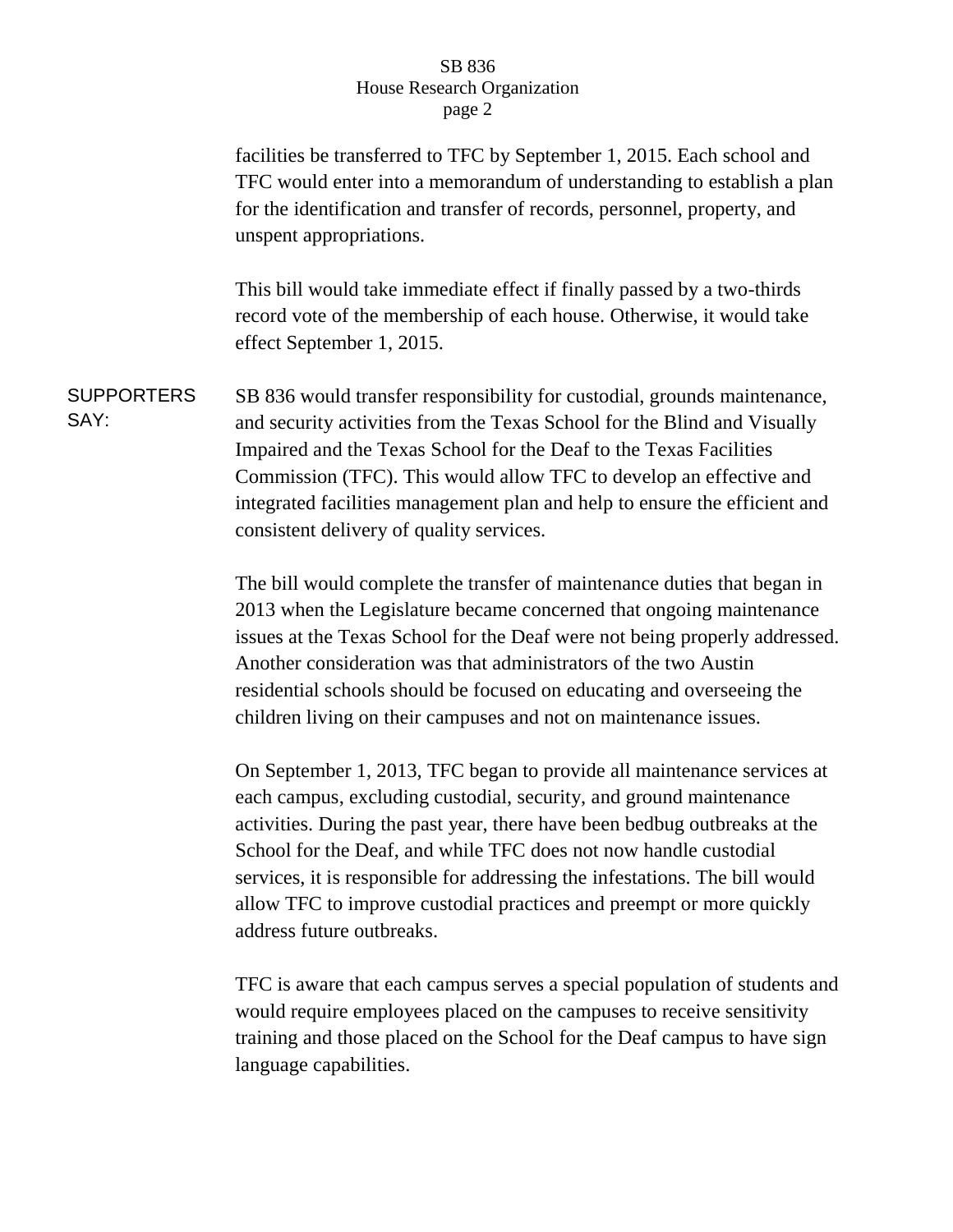## SB 836 House Research Organization page 2

facilities be transferred to TFC by September 1, 2015. Each school and TFC would enter into a memorandum of understanding to establish a plan for the identification and transfer of records, personnel, property, and unspent appropriations. This bill would take immediate effect if finally passed by a two-thirds record vote of the membership of each house. Otherwise, it would take effect September 1, 2015. **SUPPORTERS** SAY: SB 836 would transfer responsibility for custodial, grounds maintenance, and security activities from the Texas School for the Blind and Visually Impaired and the Texas School for the Deaf to the Texas Facilities Commission (TFC). This would allow TFC to develop an effective and integrated facilities management plan and help to ensure the efficient and consistent delivery of quality services. The bill would complete the transfer of maintenance duties that began in 2013 when the Legislature became concerned that ongoing maintenance issues at the Texas School for the Deaf were not being properly addressed. Another consideration was that administrators of the two Austin residential schools should be focused on educating and overseeing the children living on their campuses and not on maintenance issues.

> On September 1, 2013, TFC began to provide all maintenance services at each campus, excluding custodial, security, and ground maintenance activities. During the past year, there have been bedbug outbreaks at the School for the Deaf, and while TFC does not now handle custodial services, it is responsible for addressing the infestations. The bill would allow TFC to improve custodial practices and preempt or more quickly address future outbreaks.

TFC is aware that each campus serves a special population of students and would require employees placed on the campuses to receive sensitivity training and those placed on the School for the Deaf campus to have sign language capabilities.